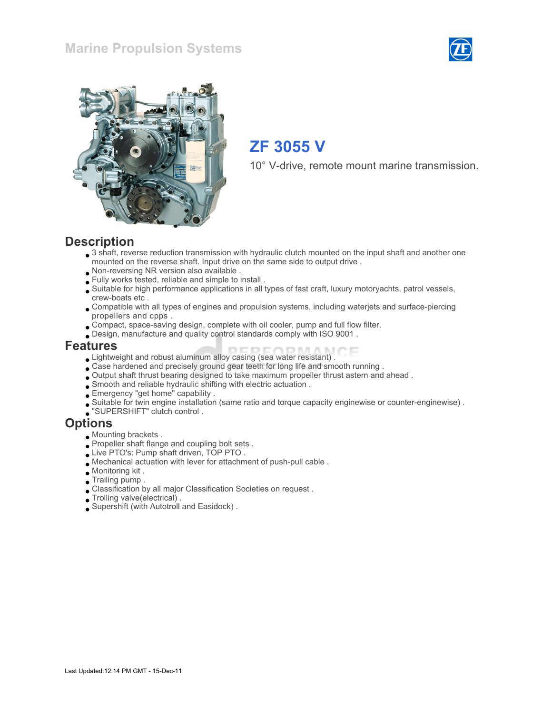#### Marine Propulsion Systems





# ZF 3055 V

10° V-drive, remote mount marine transmission.

#### **Description**

- 3 shaft, reverse reduction transmission with hydraulic clutch mounted on the input shaft and another one mounted on the reverse shaft. Input drive on the same side to output drive .
- Non-reversing NR version also available .
- Fully works tested, reliable and simple to install .
- Suitable for high performance applications in all types of fast craft, luxury motoryachts, patrol vessels, crew-boats etc .
- Compatible with all types of engines and propulsion systems, including waterjets and surface-piercing propellers and cpps .
- Compact, space-saving design, complete with oil cooler, pump and full flow filter.
- Design, manufacture and quality control standards comply with ISO 9001 .

#### Features

- Lightweight and robust aluminum alloy casing (sea water resistant) .
- Case hardened and precisely ground gear teeth for long life and smooth running .
- Output shaft thrust bearing designed to take maximum propeller thrust astern and ahead .
- Smooth and reliable hydraulic shifting with electric actuation .
- Emergency "get home" capability .
- Suitable for twin engine installation (same ratio and torque capacity enginewise or counter-enginewise) .
- "SUPERSHIFT" clutch control .

#### **Options**

- Mounting brackets .
- Propeller shaft flange and coupling bolt sets.
- Live PTO's: Pump shaft driven, TOP PTO .
- Mechanical actuation with lever for attachment of push-pull cable .
- Monitoring kit .
- Trailing pump .
- Classification by all major Classification Societies on request .
- Trolling valve(electrical) .
- Supershift (with Autotroll and Easidock) .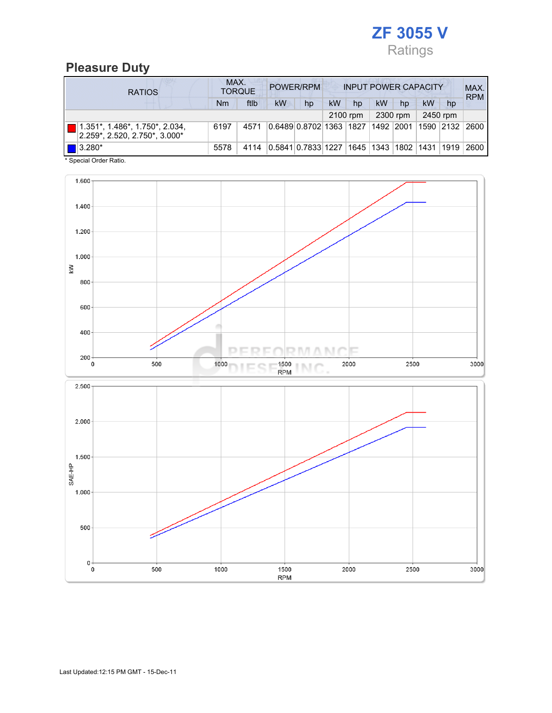

## Pleasure Duty

| <b>RATIOS</b>                                                                                 | MAX.<br>POWER/RPM<br><b>TORQUE</b> |      |           |                                            |           | <b>INPUT POWER CAPACITY</b> |    |          |           |          |            |
|-----------------------------------------------------------------------------------------------|------------------------------------|------|-----------|--------------------------------------------|-----------|-----------------------------|----|----------|-----------|----------|------------|
|                                                                                               | Nm                                 | ftlb | <b>kW</b> | hp                                         | <b>kW</b> | hp                          | kW | hp       | kW        | hp       | <b>RPM</b> |
|                                                                                               |                                    |      |           |                                            | 2100 rpm  |                             |    | 2300 rpm |           | 2450 rpm |            |
| $ 1.351^{\star},\, 1.486^{\star},\, 1.750^{\star},\, 2.034,$<br>2.259*. 2.520. 2.750*. 3.000* | 6197                               | 4571 |           | 0.6489 0.8702 1363  1827  1492  2001       |           |                             |    |          | 1590 2132 |          | 2600       |
| $\blacksquare$ 3.280*                                                                         | 5578                               | 4114 |           | 0.5841 0.7833 1227  1645  1343  1802  1431 |           |                             |    |          |           | 1919     | 2600       |

\* Special Order Ratio.

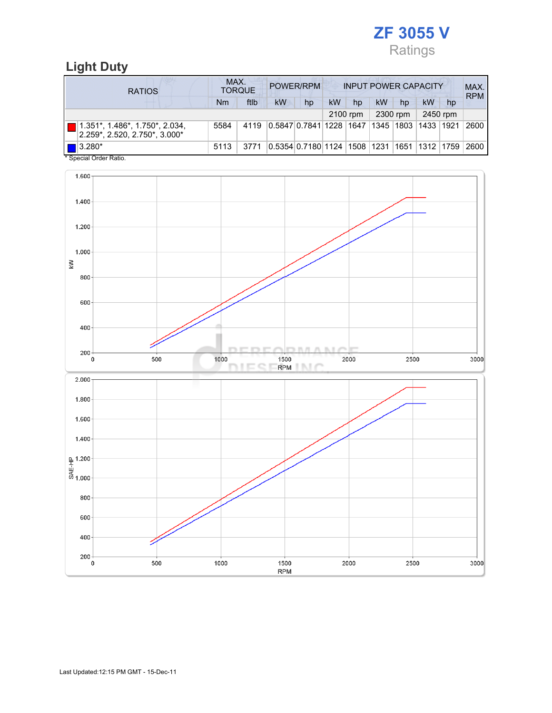

# Light Duty

| <b>RATIOS</b>                                                                     | MAX.<br>POWER/RPM<br><b>INPUT POWER CAPACITY</b><br><b>TORQUE</b> |      |                                                         |    |          |    |    |           |           | MAX.<br><b>RPM</b> |      |
|-----------------------------------------------------------------------------------|-------------------------------------------------------------------|------|---------------------------------------------------------|----|----------|----|----|-----------|-----------|--------------------|------|
|                                                                                   | Nm                                                                | ftlb | kW                                                      | hp | kW       | hp | kW | hp        | kW        | hp                 |      |
|                                                                                   |                                                                   |      |                                                         |    | 2100 rpm |    |    | 2300 rpm  |           | 2450 rpm           |      |
| $\blacksquare$ 1.351*, 1.486*, 1.750*, 2.034,<br>$2.259$ *, 2.520, 2.750*, 3.000* | 5584                                                              | 4119 | 0.5847 0.7841 1228  1647                                |    |          |    |    | 1345 1803 | 1433 1921 |                    | 2600 |
| $\blacksquare$ 3.280*<br>$*$ On a simil Onder Definition                          | 5113                                                              | 3771 | 0.5354 0.7180 1124  1508  1231  1651  1312  1759   2600 |    |          |    |    |           |           |                    |      |

Special Order Ratio.

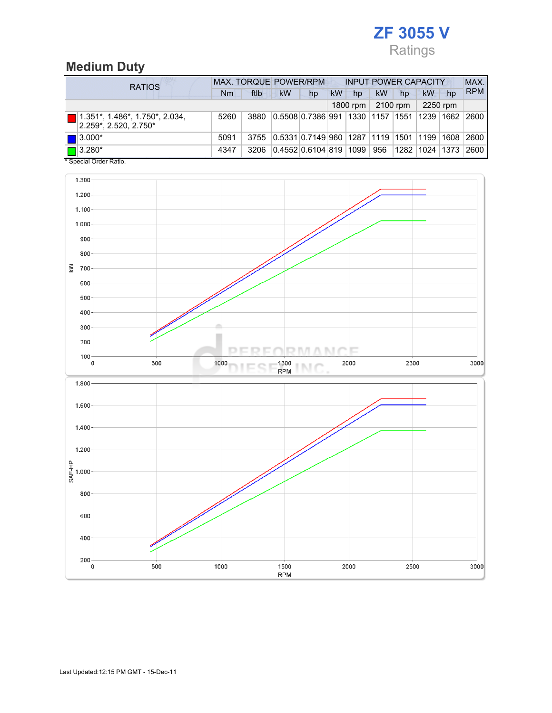# ZF 3055 V Ratings

# Medium Duty

| <b>RATIOS</b>                                                          | <b>MAX. TORQUE POWER/RPM</b> |      |                                                       |    |           | <b>INPUT POWER CAPACITY</b> |     |          |                |    |            |  |
|------------------------------------------------------------------------|------------------------------|------|-------------------------------------------------------|----|-----------|-----------------------------|-----|----------|----------------|----|------------|--|
|                                                                        | Nm                           | ftlb | <b>kW</b>                                             | hp | <b>kW</b> | hp                          | kW  | hp       | kW             | hp | <b>RPM</b> |  |
|                                                                        |                              |      |                                                       |    |           | 1800 rpm                    |     | 2100 rpm | 2250 rpm       |    |            |  |
| $1.351^*$ , $1.486^*$ , $1.750^*$ , $2.034$ ,<br>2.259*, 2.520, 2.750* | 5260                         | 3880 | 0.5508 0.7386 991  1330  1157  1551  1239  1662       |    |           |                             |     |          |                |    | 2600       |  |
| $\blacksquare$ 3.000*                                                  | 5091                         | 3755 | 0.5331 0.7149 960  1287  1119  1501  1199  1608  2600 |    |           |                             |     |          |                |    |            |  |
| $\blacksquare$ 3.280*<br>* Concial Order Datio                         | 4347                         | 3206 | 0.4552 0.6104 819  1099                               |    |           |                             | 956 |          | 1282 1024 1373 |    | 2600       |  |

Special Order Ratio.

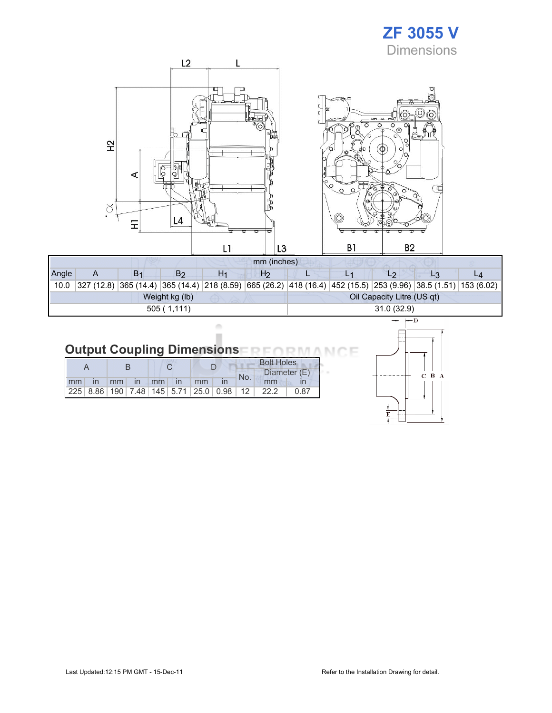# ZF 3055 V **Dimensions**



| Angle          |  | B <sub>1</sub> |  | H1 | H2 |                            |  |  |            |                                                                                                                  |  |  |
|----------------|--|----------------|--|----|----|----------------------------|--|--|------------|------------------------------------------------------------------------------------------------------------------|--|--|
| 10.0           |  |                |  |    |    |                            |  |  |            | $327 (12.8) 365 (14.4) 365 (14.4) 218 (8.59) 665 (26.2) 418 (16.4) 452 (15.5) 253 (9.96) 38.5 (1.51) 153 (6.02)$ |  |  |
| Weight kg (lb) |  |                |  |    |    | Oil Capacity Litre (US qt) |  |  |            |                                                                                                                  |  |  |
| 505(1,111)     |  |                |  |    |    |                            |  |  | 31.0(32.9) |                                                                                                                  |  |  |

#### **Output Coupling Dimensions NO NA** ìΕ л МC

ò ×

|    |             |       |  |              |    |                                                         | <b>Bolt Holes</b> |              |      |  |
|----|-------------|-------|--|--------------|----|---------------------------------------------------------|-------------------|--------------|------|--|
|    |             |       |  |              |    |                                                         | No.               | Diameter (E) |      |  |
| mm | $\ln$ $\ln$ | in mm |  | $\mathsf{m}$ | mm |                                                         |                   | mm           |      |  |
|    |             |       |  |              |    | 225   8.86   190   7.48   145   5.71   25.0   0.98   12 |                   | 22.2         | 0.87 |  |